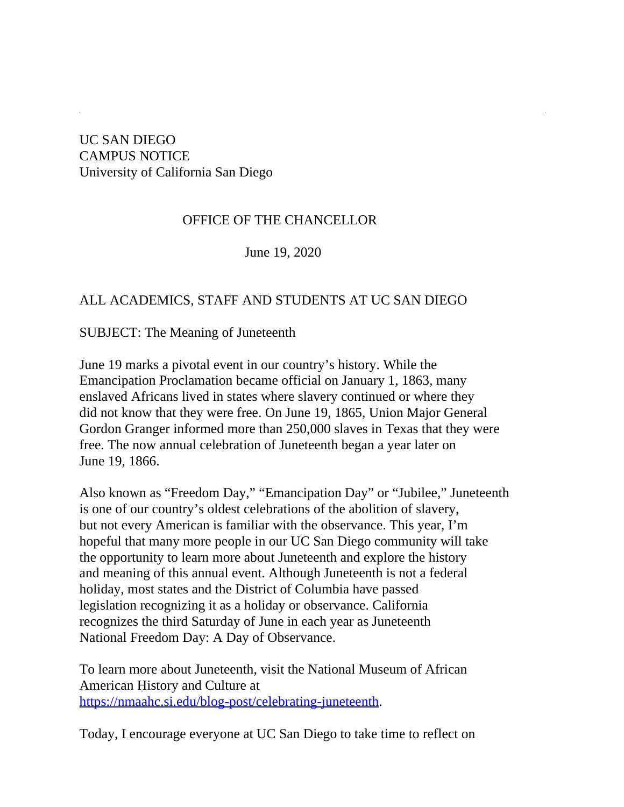## UC SAN DIEGO CAMPUS NOTICE University of California San Diego

## OFFICE OF THE CHANCELLOR

June 19, 2020

## ALL ACADEMICS, STAFF AND STUDENTS AT UC SAN DIEGO

SUBJECT: The Meaning of Juneteenth

June 19 marks a pivotal event in our country's history. While the Emancipation Proclamation became official on January 1, 1863, many enslaved Africans lived in states where slavery continued or where they did not know that they were free. On June 19, 1865, Union Major General Gordon Granger informed more than 250,000 slaves in Texas that they were free. The now annual celebration of Juneteenth began a year later on June 19, 1866.

Also known as "Freedom Day," "Emancipation Day" or "Jubilee," Juneteenth is one of our country's oldest celebrations of the abolition of slavery, but not every American is familiar with the observance. This year, I'm hopeful that many more people in our UC San Diego community will take the opportunity to learn more about Juneteenth and explore the history and meaning of this annual event. Although Juneteenth is not a federal holiday, most states and the District of Columbia have passed legislation recognizing it as a holiday or observance. California recognizes the third Saturday of June in each year as Juneteenth National Freedom Day: A Day of Observance.

To learn more about Juneteenth, visit the National Museum of African American History and Culture at [https://nmaahc.si.edu/blog-post/celebrating-juneteenth](https://urldefense.com/v3/__https://nmaahc.si.edu/blog-post/celebrating-juneteenth__;!!Mih3wA!RupUlnTZl9qEuY4aGOYg8TWfxsPTS2T5l_2tQQMZkxoDuO3WiWFsCIE5thEpXL15db0DCqw$).

Today, I encourage everyone at UC San Diego to take time to reflect on